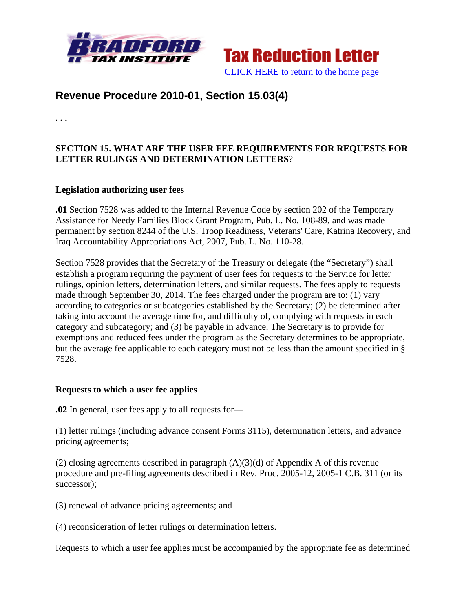



# **Revenue Procedure 2010-01, Section 15.03(4)**

**. . .** 

# **SECTION 15. WHAT ARE THE USER FEE REQUIREMENTS FOR REQUESTS FOR LETTER RULINGS AND DETERMINATION LETTERS**?

#### **Legislation authorizing user fees**

**.01** Section 7528 was added to the Internal Revenue Code by section 202 of the Temporary Assistance for Needy Families Block Grant Program, Pub. L. No. 108-89, and was made permanent by section 8244 of the U.S. Troop Readiness, Veterans' Care, Katrina Recovery, and Iraq Accountability Appropriations Act, 2007, Pub. L. No. 110-28.

Section 7528 provides that the Secretary of the Treasury or delegate (the "Secretary") shall establish a program requiring the payment of user fees for requests to the Service for letter rulings, opinion letters, determination letters, and similar requests. The fees apply to requests made through September 30, 2014. The fees charged under the program are to: (1) vary according to categories or subcategories established by the Secretary; (2) be determined after taking into account the average time for, and difficulty of, complying with requests in each category and subcategory; and (3) be payable in advance. The Secretary is to provide for exemptions and reduced fees under the program as the Secretary determines to be appropriate, but the average fee applicable to each category must not be less than the amount specified in § 7528.

#### **Requests to which a user fee applies**

**.02** In general, user fees apply to all requests for—

(1) letter rulings (including advance consent Forms 3115), determination letters, and advance pricing agreements;

(2) closing agreements described in paragraph (A)(3)(d) of Appendix A of this revenue procedure and pre-filing agreements described in Rev. Proc. 2005-12, 2005-1 C.B. 311 (or its successor);

(3) renewal of advance pricing agreements; and

(4) reconsideration of letter rulings or determination letters.

Requests to which a user fee applies must be accompanied by the appropriate fee as determined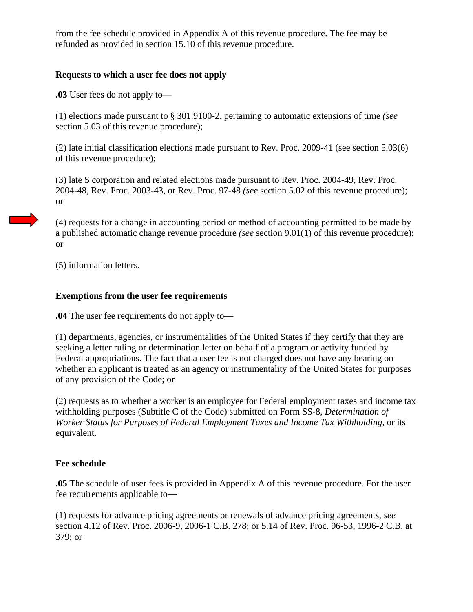from the fee schedule provided in Appendix A of this revenue procedure. The fee may be refunded as provided in section 15.10 of this revenue procedure.

## **Requests to which a user fee does not apply**

**.03** User fees do not apply to—

(1) elections made pursuant to § 301.9100-2, pertaining to automatic extensions of time *(see* section 5.03 of this revenue procedure);

(2) late initial classification elections made pursuant to Rev. Proc. 2009-41 (see section 5.03(6) of this revenue procedure);

(3) late S corporation and related elections made pursuant to Rev. Proc. 2004-49, Rev. Proc. 2004-48, Rev. Proc. 2003-43, or Rev. Proc. 97-48 *(see* section 5.02 of this revenue procedure); or

(4) requests for a change in accounting period or method of accounting permitted to be made by a published automatic change revenue procedure *(see* section 9.01(1) of this revenue procedure); or

(5) information letters.

# **Exemptions from the user fee requirements**

**.04** The user fee requirements do not apply to—

(1) departments, agencies, or instrumentalities of the United States if they certify that they are seeking a letter ruling or determination letter on behalf of a program or activity funded by Federal appropriations. The fact that a user fee is not charged does not have any bearing on whether an applicant is treated as an agency or instrumentality of the United States for purposes of any provision of the Code; or

(2) requests as to whether a worker is an employee for Federal employment taxes and income tax withholding purposes (Subtitle C of the Code) submitted on Form SS-8, *Determination of Worker Status for Purposes of Federal Employment Taxes and Income Tax Withholding*, or its equivalent.

## **Fee schedule**

**.05** The schedule of user fees is provided in Appendix A of this revenue procedure. For the user fee requirements applicable to—

(1) requests for advance pricing agreements or renewals of advance pricing agreements, *see* section 4.12 of Rev. Proc. 2006-9, 2006-1 C.B. 278; or 5.14 of Rev. Proc. 96-53, 1996-2 C.B. at 379; or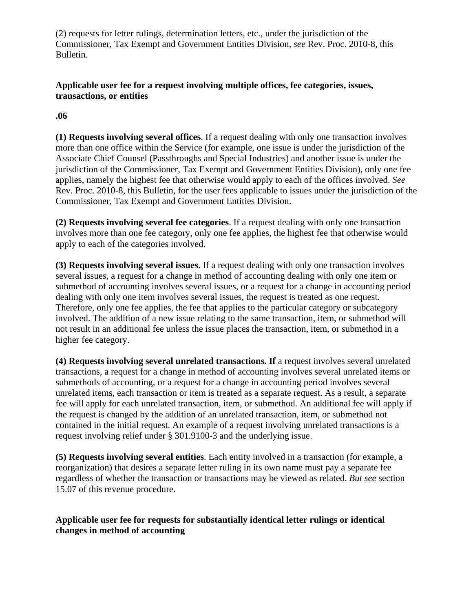(2) requests for letter rulings, determination letters, etc., under the jurisdiction of the Commissioner, Tax Exempt and Government Entities Division, *see* Rev. Proc. 2010-8, this Bulletin.

# **Applicable user fee for a request involving multiple offices, fee categories, issues, transactions, or entities**

#### **.06**

**(1) Requests involving several offices**. If a request dealing with only one transaction involves more than one office within the Service (for example, one issue is under the jurisdiction of the Associate Chief Counsel (Passthroughs and Special Industries) and another issue is under the jurisdiction of the Commissioner, Tax Exempt and Government Entities Division), only one fee applies, namely the highest fee that otherwise would apply to each of the offices involved. *See* Rev. Proc. 2010-8, this Bulletin, for the user fees applicable to issues under the jurisdiction of the Commissioner, Tax Exempt and Government Entities Division.

**(2) Requests involving several fee categories**. If a request dealing with only one transaction involves more than one fee category, only one fee applies, the highest fee that otherwise would apply to each of the categories involved.

**(3) Requests involving several issues**. If a request dealing with only one transaction involves several issues, a request for a change in method of accounting dealing with only one item or submethod of accounting involves several issues, or a request for a change in accounting period dealing with only one item involves several issues, the request is treated as one request. Therefore, only one fee applies, the fee that applies to the particular category or subcategory involved. The addition of a new issue relating to the same transaction, item, or submethod will not result in an additional fee unless the issue places the transaction, item, or submethod in a higher fee category.

**(4) Requests involving several unrelated transactions. If** a request involves several unrelated transactions, a request for a change in method of accounting involves several unrelated items or submethods of accounting, or a request for a change in accounting period involves several unrelated items, each transaction or item is treated as a separate request. As a result, a separate fee will apply for each unrelated transaction, item, or submethod. An additional fee will apply if the request is changed by the addition of an unrelated transaction, item, or submethod not contained in the initial request. An example of a request involving unrelated transactions is a request involving relief under § 301.9100-3 and the underlying issue.

**(5) Requests involving several entities**. Each entity involved in a transaction (for example, a reorganization) that desires a separate letter ruling in its own name must pay a separate fee regardless of whether the transaction or transactions may be viewed as related. *But see* section 15.07 of this revenue procedure.

## **Applicable user fee for requests for substantially identical letter rulings or identical changes in method of accounting**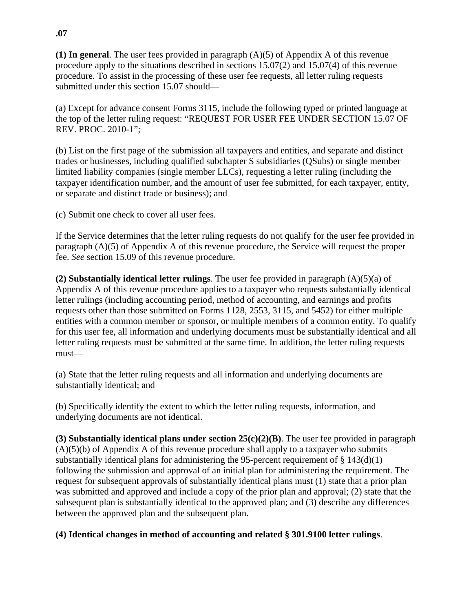**(1) In general**. The user fees provided in paragraph (A)(5) of Appendix A of this revenue procedure apply to the situations described in sections 15.07(2) and 15.07(4) of this revenue procedure. To assist in the processing of these user fee requests, all letter ruling requests submitted under this section 15.07 should—

(a) Except for advance consent Forms 3115, include the following typed or printed language at the top of the letter ruling request: "REQUEST FOR USER FEE UNDER SECTION 15.07 OF REV. PROC. 2010-1";

(b) List on the first page of the submission all taxpayers and entities, and separate and distinct trades or businesses, including qualified subchapter S subsidiaries (QSubs) or single member limited liability companies (single member LLCs), requesting a letter ruling (including the taxpayer identification number, and the amount of user fee submitted, for each taxpayer, entity, or separate and distinct trade or business); and

(c) Submit one check to cover all user fees.

If the Service determines that the letter ruling requests do not qualify for the user fee provided in paragraph (A)(5) of Appendix A of this revenue procedure, the Service will request the proper fee. *See* section 15.09 of this revenue procedure.

**(2) Substantially identical letter rulings**. The user fee provided in paragraph (A)(5)(a) of Appendix A of this revenue procedure applies to a taxpayer who requests substantially identical letter rulings (including accounting period, method of accounting, and earnings and profits requests other than those submitted on Forms 1128, 2553, 3115, and 5452) for either multiple entities with a common member or sponsor, or multiple members of a common entity. To qualify for this user fee, all information and underlying documents must be substantially identical and all letter ruling requests must be submitted at the same time. In addition, the letter ruling requests must—

(a) State that the letter ruling requests and all information and underlying documents are substantially identical; and

(b) Specifically identify the extent to which the letter ruling requests, information, and underlying documents are not identical.

**(3) Substantially identical plans under section 25(c)(2)(B)**. The user fee provided in paragraph  $(A)(5)(b)$  of Appendix A of this revenue procedure shall apply to a taxpayer who submits substantially identical plans for administering the 95-percent requirement of  $\S 143(d)(1)$ following the submission and approval of an initial plan for administering the requirement. The request for subsequent approvals of substantially identical plans must (1) state that a prior plan was submitted and approved and include a copy of the prior plan and approval; (2) state that the subsequent plan is substantially identical to the approved plan; and (3) describe any differences between the approved plan and the subsequent plan.

**(4) Identical changes in method of accounting and related § 301.9100 letter rulings**.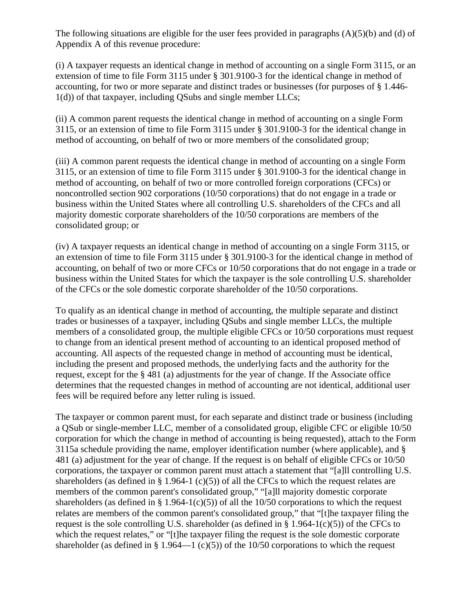The following situations are eligible for the user fees provided in paragraphs (A)(5)(b) and (d) of Appendix A of this revenue procedure:

(i) A taxpayer requests an identical change in method of accounting on a single Form 3115, or an extension of time to file Form 3115 under § 301.9100-3 for the identical change in method of accounting, for two or more separate and distinct trades or businesses (for purposes of § 1.446- 1(d)) of that taxpayer, including QSubs and single member LLCs;

(ii) A common parent requests the identical change in method of accounting on a single Form 3115, or an extension of time to file Form 3115 under § 301.9100-3 for the identical change in method of accounting, on behalf of two or more members of the consolidated group;

(iii) A common parent requests the identical change in method of accounting on a single Form 3115, or an extension of time to file Form 3115 under § 301.9100-3 for the identical change in method of accounting, on behalf of two or more controlled foreign corporations (CFCs) or noncontrolled section 902 corporations (10/50 corporations) that do not engage in a trade or business within the United States where all controlling U.S. shareholders of the CFCs and all majority domestic corporate shareholders of the 10/50 corporations are members of the consolidated group; or

(iv) A taxpayer requests an identical change in method of accounting on a single Form 3115, or an extension of time to file Form 3115 under § 301.9100-3 for the identical change in method of accounting, on behalf of two or more CFCs or 10/50 corporations that do not engage in a trade or business within the United States for which the taxpayer is the sole controlling U.S. shareholder of the CFCs or the sole domestic corporate shareholder of the 10/50 corporations.

To qualify as an identical change in method of accounting, the multiple separate and distinct trades or businesses of a taxpayer, including QSubs and single member LLCs, the multiple members of a consolidated group, the multiple eligible CFCs or 10/50 corporations must request to change from an identical present method of accounting to an identical proposed method of accounting. All aspects of the requested change in method of accounting must be identical, including the present and proposed methods, the underlying facts and the authority for the request, except for the § 481 (a) adjustments for the year of change. If the Associate office determines that the requested changes in method of accounting are not identical, additional user fees will be required before any letter ruling is issued.

The taxpayer or common parent must, for each separate and distinct trade or business (including a QSub or single-member LLC, member of a consolidated group, eligible CFC or eligible 10/50 corporation for which the change in method of accounting is being requested), attach to the Form 3115a schedule providing the name, employer identification number (where applicable), and § 481 (a) adjustment for the year of change. If the request is on behalf of eligible CFCs or 10/50 corporations, the taxpayer or common parent must attach a statement that "[a]ll controlling U.S. shareholders (as defined in § 1.964-1 (c)(5)) of all the CFCs to which the request relates are members of the common parent's consolidated group," "[a]ll majority domestic corporate shareholders (as defined in § 1.964-1(c)(5)) of all the 10/50 corporations to which the request relates are members of the common parent's consolidated group," that "[t]he taxpayer filing the request is the sole controlling U.S. shareholder (as defined in  $\S$  1.964-1(c)(5)) of the CFCs to which the request relates," or "[t]he taxpayer filing the request is the sole domestic corporate shareholder (as defined in § 1.964—1 (c)(5)) of the 10/50 corporations to which the request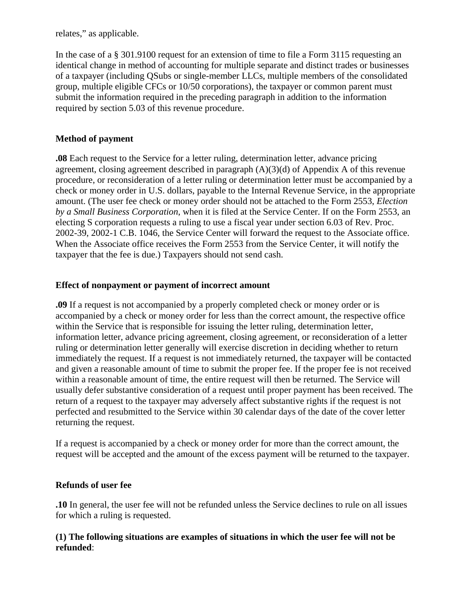relates," as applicable.

In the case of a § 301.9100 request for an extension of time to file a Form 3115 requesting an identical change in method of accounting for multiple separate and distinct trades or businesses of a taxpayer (including QSubs or single-member LLCs, multiple members of the consolidated group, multiple eligible CFCs or 10/50 corporations), the taxpayer or common parent must submit the information required in the preceding paragraph in addition to the information required by section 5.03 of this revenue procedure.

# **Method of payment**

**.08** Each request to the Service for a letter ruling, determination letter, advance pricing agreement, closing agreement described in paragraph (A)(3)(d) of Appendix A of this revenue procedure, or reconsideration of a letter ruling or determination letter must be accompanied by a check or money order in U.S. dollars, payable to the Internal Revenue Service, in the appropriate amount. (The user fee check or money order should not be attached to the Form 2553, *Election by a Small Business Corporation*, when it is filed at the Service Center. If on the Form 2553, an electing S corporation requests a ruling to use a fiscal year under section 6.03 of Rev. Proc. 2002-39, 2002-1 C.B. 1046, the Service Center will forward the request to the Associate office. When the Associate office receives the Form 2553 from the Service Center, it will notify the taxpayer that the fee is due.) Taxpayers should not send cash.

## **Effect of nonpayment or payment of incorrect amount**

**.09** If a request is not accompanied by a properly completed check or money order or is accompanied by a check or money order for less than the correct amount, the respective office within the Service that is responsible for issuing the letter ruling, determination letter, information letter, advance pricing agreement, closing agreement, or reconsideration of a letter ruling or determination letter generally will exercise discretion in deciding whether to return immediately the request. If a request is not immediately returned, the taxpayer will be contacted and given a reasonable amount of time to submit the proper fee. If the proper fee is not received within a reasonable amount of time, the entire request will then be returned. The Service will usually defer substantive consideration of a request until proper payment has been received. The return of a request to the taxpayer may adversely affect substantive rights if the request is not perfected and resubmitted to the Service within 30 calendar days of the date of the cover letter returning the request.

If a request is accompanied by a check or money order for more than the correct amount, the request will be accepted and the amount of the excess payment will be returned to the taxpayer.

## **Refunds of user fee**

**.10** In general, the user fee will not be refunded unless the Service declines to rule on all issues for which a ruling is requested.

## **(1) The following situations are examples of situations in which the user fee will not be refunded**: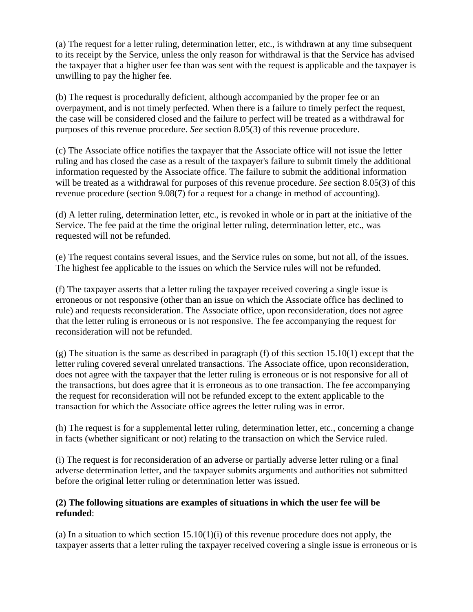(a) The request for a letter ruling, determination letter, etc., is withdrawn at any time subsequent to its receipt by the Service, unless the only reason for withdrawal is that the Service has advised the taxpayer that a higher user fee than was sent with the request is applicable and the taxpayer is unwilling to pay the higher fee.

(b) The request is procedurally deficient, although accompanied by the proper fee or an overpayment, and is not timely perfected. When there is a failure to timely perfect the request, the case will be considered closed and the failure to perfect will be treated as a withdrawal for purposes of this revenue procedure. *See* section 8.05(3) of this revenue procedure.

(c) The Associate office notifies the taxpayer that the Associate office will not issue the letter ruling and has closed the case as a result of the taxpayer's failure to submit timely the additional information requested by the Associate office. The failure to submit the additional information will be treated as a withdrawal for purposes of this revenue procedure. *See* section 8.05(3) of this revenue procedure (section 9.08(7) for a request for a change in method of accounting).

(d) A letter ruling, determination letter, etc., is revoked in whole or in part at the initiative of the Service. The fee paid at the time the original letter ruling, determination letter, etc., was requested will not be refunded.

(e) The request contains several issues, and the Service rules on some, but not all, of the issues. The highest fee applicable to the issues on which the Service rules will not be refunded.

(f) The taxpayer asserts that a letter ruling the taxpayer received covering a single issue is erroneous or not responsive (other than an issue on which the Associate office has declined to rule) and requests reconsideration. The Associate office, upon reconsideration, does not agree that the letter ruling is erroneous or is not responsive. The fee accompanying the request for reconsideration will not be refunded.

(g) The situation is the same as described in paragraph (f) of this section 15.10(1) except that the letter ruling covered several unrelated transactions. The Associate office, upon reconsideration, does not agree with the taxpayer that the letter ruling is erroneous or is not responsive for all of the transactions, but does agree that it is erroneous as to one transaction. The fee accompanying the request for reconsideration will not be refunded except to the extent applicable to the transaction for which the Associate office agrees the letter ruling was in error.

(h) The request is for a supplemental letter ruling, determination letter, etc., concerning a change in facts (whether significant or not) relating to the transaction on which the Service ruled.

(i) The request is for reconsideration of an adverse or partially adverse letter ruling or a final adverse determination letter, and the taxpayer submits arguments and authorities not submitted before the original letter ruling or determination letter was issued.

## **(2) The following situations are examples of situations in which the user fee will be refunded**:

(a) In a situation to which section  $15.10(1)(i)$  of this revenue procedure does not apply, the taxpayer asserts that a letter ruling the taxpayer received covering a single issue is erroneous or is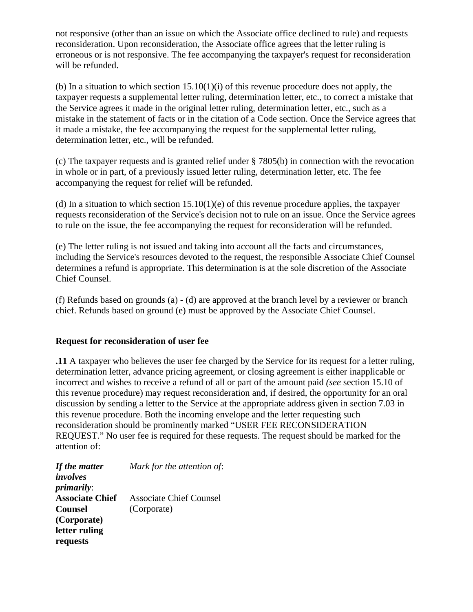not responsive (other than an issue on which the Associate office declined to rule) and requests reconsideration. Upon reconsideration, the Associate office agrees that the letter ruling is erroneous or is not responsive. The fee accompanying the taxpayer's request for reconsideration will be refunded.

(b) In a situation to which section  $15.10(1)(i)$  of this revenue procedure does not apply, the taxpayer requests a supplemental letter ruling, determination letter, etc., to correct a mistake that the Service agrees it made in the original letter ruling, determination letter, etc., such as a mistake in the statement of facts or in the citation of a Code section. Once the Service agrees that it made a mistake, the fee accompanying the request for the supplemental letter ruling, determination letter, etc., will be refunded.

(c) The taxpayer requests and is granted relief under § 7805(b) in connection with the revocation in whole or in part, of a previously issued letter ruling, determination letter, etc. The fee accompanying the request for relief will be refunded.

(d) In a situation to which section  $15.10(1)(e)$  of this revenue procedure applies, the taxpayer requests reconsideration of the Service's decision not to rule on an issue. Once the Service agrees to rule on the issue, the fee accompanying the request for reconsideration will be refunded.

(e) The letter ruling is not issued and taking into account all the facts and circumstances, including the Service's resources devoted to the request, the responsible Associate Chief Counsel determines a refund is appropriate. This determination is at the sole discretion of the Associate Chief Counsel.

(f) Refunds based on grounds (a) - (d) are approved at the branch level by a reviewer or branch chief. Refunds based on ground (e) must be approved by the Associate Chief Counsel.

#### **Request for reconsideration of user fee**

**.11** A taxpayer who believes the user fee charged by the Service for its request for a letter ruling, determination letter, advance pricing agreement, or closing agreement is either inapplicable or incorrect and wishes to receive a refund of all or part of the amount paid *(see* section 15.10 of this revenue procedure) may request reconsideration and, if desired, the opportunity for an oral discussion by sending a letter to the Service at the appropriate address given in section 7.03 in this revenue procedure. Both the incoming envelope and the letter requesting such reconsideration should be prominently marked "USER FEE RECONSIDERATION REQUEST." No user fee is required for these requests. The request should be marked for the attention of:

| If the matter          | Mark for the attention of: |
|------------------------|----------------------------|
| involves               |                            |
| <i>primarily:</i>      |                            |
| <b>Associate Chief</b> | Associate Chief Counsel    |
| <b>Counsel</b>         | (Corporate)                |
| (Corporate)            |                            |
| letter ruling          |                            |
| requests               |                            |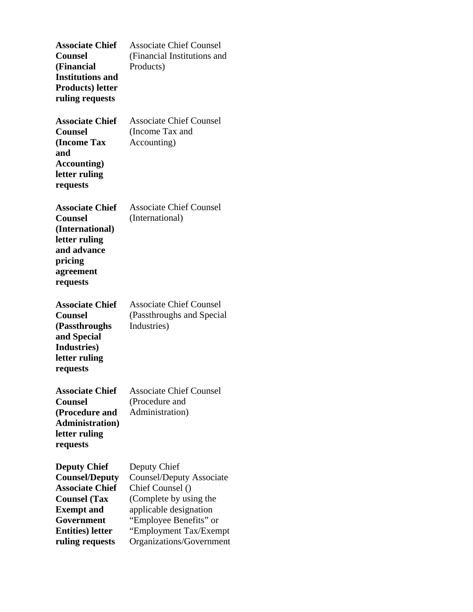| <b>Associate Chief</b><br><b>Counsel</b><br>(Financial<br><b>Institutions and</b><br><b>Products</b> ) letter<br>ruling requests                                                | <b>Associate Chief Counsel</b><br>(Financial Institutions and<br>Products)                                                                                                                       |
|---------------------------------------------------------------------------------------------------------------------------------------------------------------------------------|--------------------------------------------------------------------------------------------------------------------------------------------------------------------------------------------------|
| <b>Associate Chief</b><br><b>Counsel</b><br><b>(Income Tax</b><br>and<br><b>Accounting</b> )<br>letter ruling<br>requests                                                       | <b>Associate Chief Counsel</b><br>(Income Tax and<br>Accounting)                                                                                                                                 |
| <b>Associate Chief</b><br><b>Counsel</b><br>(International)<br>letter ruling<br>and advance<br>pricing<br>agreement<br>requests                                                 | <b>Associate Chief Counsel</b><br>(International)                                                                                                                                                |
| <b>Associate Chief</b><br><b>Counsel</b><br>(Passthroughs<br>and Special<br>Industries)<br>letter ruling<br>requests                                                            | <b>Associate Chief Counsel</b><br>(Passthroughs and Special<br>Industries)                                                                                                                       |
| <b>Associate Chief</b><br><b>Counsel</b><br>(Procedure and<br><b>Administration</b> )<br>letter ruling<br>requests                                                              | <b>Associate Chief Counsel</b><br>(Procedure and<br>Administration)                                                                                                                              |
| <b>Deputy Chief</b><br><b>Counsel/Deputy</b><br><b>Associate Chief</b><br><b>Counsel</b> (Tax<br><b>Exempt</b> and<br>Government<br><b>Entities</b> ) letter<br>ruling requests | Deputy Chief<br>Counsel/Deputy Associate<br>Chief Counsel ()<br>(Complete by using the<br>applicable designation<br>"Employee Benefits" or<br>"Employment Tax/Exempt<br>Organizations/Government |